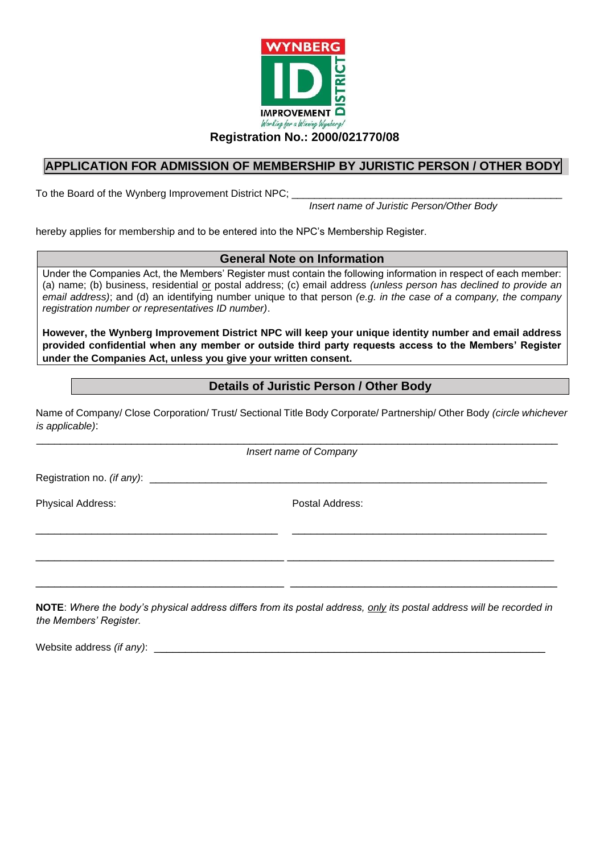

**Registration No.: 2000/021770/08** 

# **APPLICATION FOR ADMISSION OF MEMBERSHIP BY JURISTIC PERSON / OTHER BODY**

To the Board of the Wynberg Improvement District NPC;

 *Insert name of Juristic Person/Other Body*

hereby applies for membership and to be entered into the NPC's Membership Register.

### **General Note on Information**

Under the Companies Act, the Members' Register must contain the following information in respect of each member: (a) name; (b) business, residential or postal address; (c) email address *(unless person has declined to provide an email address)*; and (d) an identifying number unique to that person *(e.g. in the case of a company, the company registration number or representatives ID number)*.

**However, the Wynberg Improvement District NPC will keep your unique identity number and email address provided confidential when any member or outside third party requests access to the Members' Register under the Companies Act, unless you give your written consent.** 

## **Details of Juristic Person / Other Body**

Name of Company/ Close Corporation/ Trust/ Sectional Title Body Corporate/ Partnership/ Other Body *(circle whichever is applicable)*:

 $\_$  . The contribution of the contribution of the contribution of the contribution of the contribution of  $\mathcal{L}_\text{max}$ *Insert name of Company*

Registration no. *(if any)*: \_\_\_\_\_\_\_\_\_\_\_\_\_\_\_\_\_\_\_\_\_\_\_\_\_\_\_\_\_\_\_\_\_\_\_\_\_\_\_\_\_\_\_\_\_\_\_\_\_\_\_\_\_\_\_\_\_\_\_\_\_\_\_\_

Physical Address: Postal Address:

**NOTE**: *Where the body's physical address differs from its postal address, only its postal address will be recorded in the Members' Register.* 

\_\_\_\_\_\_\_\_\_\_\_\_\_\_\_\_\_\_\_\_\_\_\_\_\_\_\_\_\_\_\_\_\_\_\_\_\_\_\_ \_\_\_\_\_\_\_\_\_\_\_\_\_\_\_\_\_\_\_\_\_\_\_\_\_\_\_\_\_\_\_\_\_\_\_\_\_\_\_\_\_

 $\_$  . The contribution of the contribution of the contribution of the contribution of the contribution of the contribution of the contribution of the contribution of the contribution of the contribution of the contributio

 $\_$  , and the set of the set of the set of the set of the set of the set of the set of the set of the set of the set of the set of the set of the set of the set of the set of the set of the set of the set of the set of th

Website address *(if any)*: